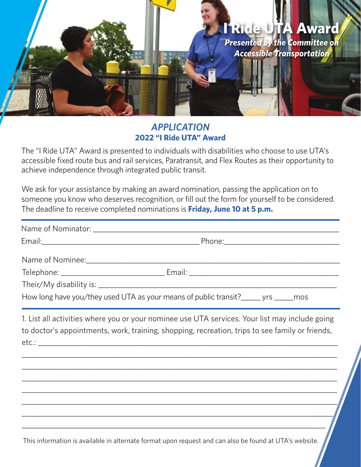## **I Ride UTA Award** *Presented by the Committee on Accessible Transportation*

## *APPLICATION* **2022 "I Ride UTA" Award**

The "I Ride UTA" Award is presented to individuals with disabilities who choose to use UTA's accessible fixed route bus and rail services, Paratransit, and Flex Routes as their opportunity to achieve independence through integrated public transit.

We ask for your assistance by making an award nomination, passing the application on to someone you know who deserves recognition, or fill out the form for yourself to be considered. The deadline to receive completed nominations is **Friday, June 10 at 5 p.m.**

| How long have you/they used UTA as your means of public transit?_____ yrs _____ mos                                                                                                               |  |
|---------------------------------------------------------------------------------------------------------------------------------------------------------------------------------------------------|--|
| 1. List all activities where you or your nominee use UTA services. Your list may include going<br>to doctor's appointments, work, training, shopping, recreation, trips to see family or friends, |  |
|                                                                                                                                                                                                   |  |
|                                                                                                                                                                                                   |  |
|                                                                                                                                                                                                   |  |

This information is available in alternate format upon request and can also be found at UTA's website.